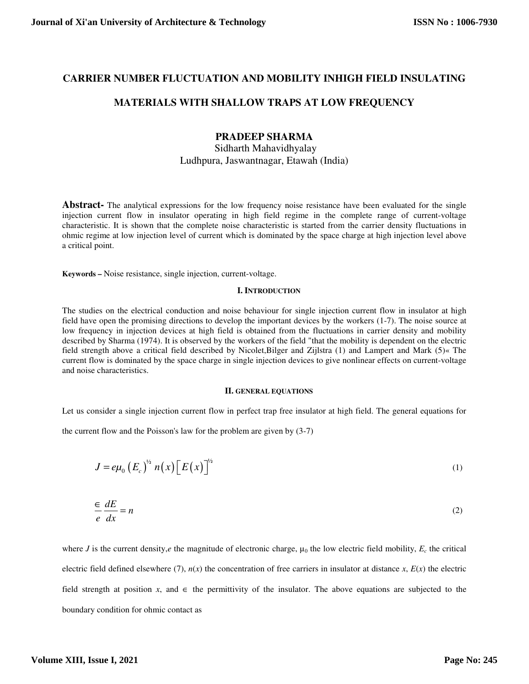## **CARRIER NUMBER FLUCTUATION AND MOBILITY INHIGH FIELD INSULATING**

## **MATERIALS WITH SHALLOW TRAPS AT LOW FREQUENCY**

# **PRADEEP SHARMA**

Sidharth Mahavidhyalay Ludhpura, Jaswantnagar, Etawah (India)

**Abstract-** The analytical expressions for the low frequency noise resistance have been evaluated for the single injection current flow in insulator operating in high field regime in the complete range of current-voltage characteristic. It is shown that the complete noise characteristic is started from the carrier density fluctuations in ohmic regime at low injection level of current which is dominated by the space charge at high injection level above a critical point.

**Keywords –** Noise resistance, single injection, current-voltage.

#### **I. INTRODUCTION**

The studies on the electrical conduction and noise behaviour for single injection current flow in insulator at high field have open the promising directions to develop the important devices by the workers (1-7). The noise source at low frequency in injection devices at high field is obtained from the fluctuations in carrier density and mobility described by Sharma (1974). It is observed by the workers of the field "that the mobility is dependent on the electric field strength above a critical field described by Nicolet,Bilger and Zijlstra (1) and Lampert and Mark (5)« The current flow is dominated by the space charge in single injection devices to give nonlinear effects on current-voltage and noise characteristics.

#### **II. GENERAL EQUATIONS**

Let us consider a single injection current flow in perfect trap free insulator at high field. The general equations for

the current flow and the Poisson's law for the problem are given by (3-7)

$$
J = e\mu_0 \left( E_c \right)^{\frac{1}{2}} n(x) \left[ E(x) \right]^{\frac{1}{2}} \tag{1}
$$

$$
\frac{\epsilon}{e} \frac{dE}{dx} = n \tag{2}
$$

where *J* is the current density, *e* the magnitude of electronic charge,  $\mu_0$  the low electric field mobility,  $E_c$  the critical electric field defined elsewhere (7),  $n(x)$  the concentration of free carriers in insulator at distance  $x$ ,  $E(x)$  the electric field strength at position *x*, and  $\in$  the permittivity of the insulator. The above equations are subjected to the boundary condition for ohmic contact as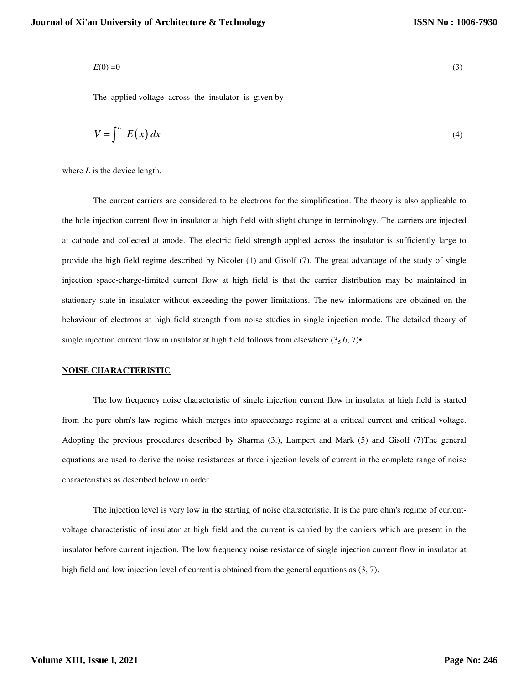$$
E(0) = 0 \tag{3}
$$

The applied voltage across the insulator is given by

$$
V = \int_{-}^{L} E(x) dx
$$
 (4)

where *L* is the device length.

 The current carriers are considered to be electrons for the simplification. The theory is also applicable to the hole injection current flow in insulator at high field with slight change in terminology. The carriers are injected at cathode and collected at anode. The electric field strength applied across the insulator is sufficiently large to provide the high field regime described by Nicolet (1) and Gisolf (7). The great advantage of the study of single injection space-charge-limited current flow at high field is that the carrier distribution may be maintained in stationary state in insulator without exceeding the power limitations. The new informations are obtained on the behaviour of electrons at high field strength from noise studies in single injection mode. The detailed theory of single injection current flow in insulator at high field follows from elsewhere  $(3, 6, 7)$ •

### **NOISE CHARACTERISTIC**

 The low frequency noise characteristic of single injection current flow in insulator at high field is started from the pure ohm's law regime which merges into spacecharge regime at a critical current and critical voltage. Adopting the previous procedures described by Sharma (3.), Lampert and Mark (5) and Gisolf (7)The general equations are used to derive the noise resistances at three injection levels of current in the complete range of noise characteristics as described below in order.

 The injection level is very low in the starting of noise characteristic. It is the pure ohm's regime of currentvoltage characteristic of insulator at high field and the current is carried by the carriers which are present in the insulator before current injection. The low frequency noise resistance of single injection current flow in insulator at high field and low injection level of current is obtained from the general equations as  $(3, 7)$ .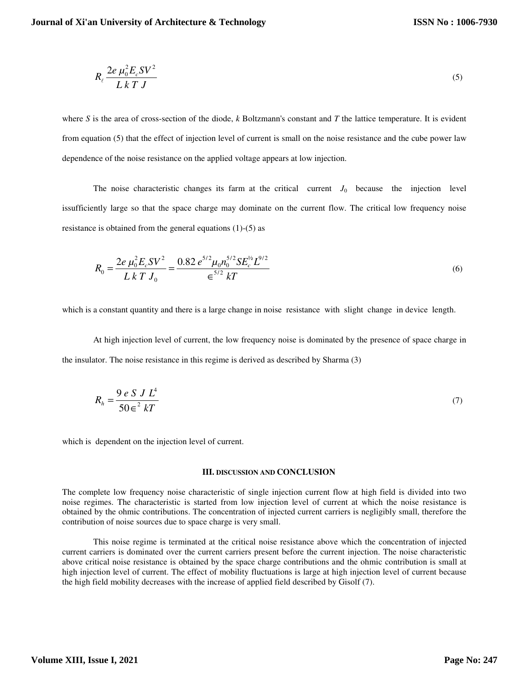$$
R_{\ell} \frac{2e \mu_0^2 E_c SV^2}{L k T J}
$$
\n<sup>(5)</sup>

where *S* is the area of cross-section of the diode, *k* Boltzmann's constant and *T* the lattice temperature. It is evident from equation (5) that the effect of injection level of current is small on the noise resistance and the cube power law dependence of the noise resistance on the applied voltage appears at low injection.

The noise characteristic changes its farm at the critical current  $J_0$  because the injection level issufficiently large so that the space charge may dominate on the current flow. The critical low frequency noise resistance is obtained from the general equations (1)-(5) as

$$
R_0 = \frac{2e \mu_0^2 E_c SV^2}{L k T J_0} = \frac{0.82 e^{5/2} \mu_0 n_0^{5/2} SE_c^{\frac{1}{2}2}}{E} \tag{6}
$$

which is a constant quantity and there is a large change in noise resistance with slight change in device length.

 At high injection level of current, the low frequency noise is dominated by the presence of space charge in the insulator. The noise resistance in this regime is derived as described by Sharma (3)

$$
R_h = \frac{9 e S J L^4}{50 \varepsilon^2 kT} \tag{7}
$$

which is dependent on the injection level of current.

#### **III. DISCUSSION AND CONCLUSION**

The complete low frequency noise characteristic of single injection current flow at high field is divided into two noise regimes. The characteristic is started from low injection level of current at which the noise resistance is obtained by the ohmic contributions. The concentration of injected current carriers is negligibly small, therefore the contribution of noise sources due to space charge is very small.

 This noise regime is terminated at the critical noise resistance above which the concentration of injected current carriers is dominated over the current carriers present before the current injection. The noise characteristic above critical noise resistance is obtained by the space charge contributions and the ohmic contribution is small at high injection level of current. The effect of mobility fluctuations is large at high injection level of current because the high field mobility decreases with the increase of applied field described by Gisolf (7).